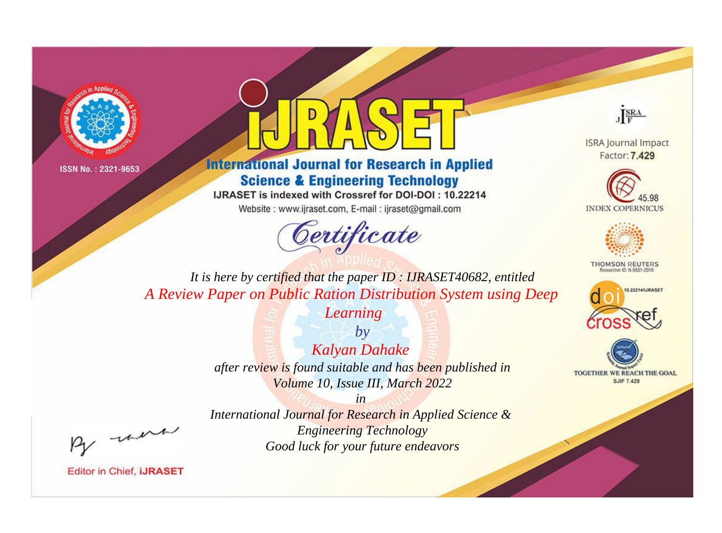



**International Journal for Research in Applied Science & Engineering Technology** 

IJRASET is indexed with Crossref for DOI-DOI: 10.22214

Website: www.ijraset.com, E-mail: ijraset@gmail.com



JERA

**ISRA Journal Impact** Factor: 7.429





**THOMSON REUTERS** 



TOGETHER WE REACH THE GOAL **SJIF 7.429** 

It is here by certified that the paper ID: IJRASET40682, entitled A Review Paper on Public Ration Distribution System using Deep

Learning

 $by$ **Kalyan Dahake** after review is found suitable and has been published in Volume 10, Issue III, March 2022

were

International Journal for Research in Applied Science & **Engineering Technology** Good luck for your future endeavors

 $in$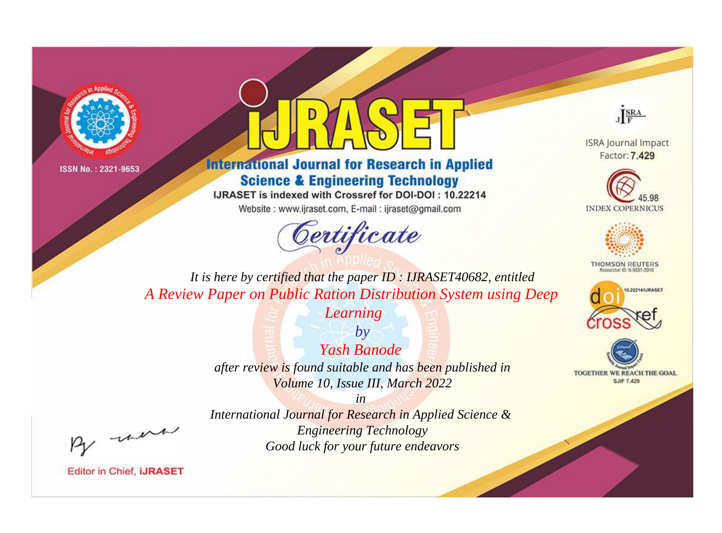



**International Journal for Research in Applied Science & Engineering Technology** 

IJRASET is indexed with Crossref for DOI-DOI: 10.22214

Website: www.ijraset.com, E-mail: ijraset@gmail.com



JERA

**ISRA Journal Impact** Factor: 7.429





**THOMSON REUTERS** 



TOGETHER WE REACH THE GOAL **SJIF 7.429** 

It is here by certified that the paper ID: IJRASET40682, entitled A Review Paper on Public Ration Distribution System using Deep

Learning

 $b\nu$ Yash Banode after review is found suitable and has been published in Volume 10, Issue III, March 2022

 $in$ 

International Journal for Research in Applied Science & **Engineering Technology** Good luck for your future endeavors

were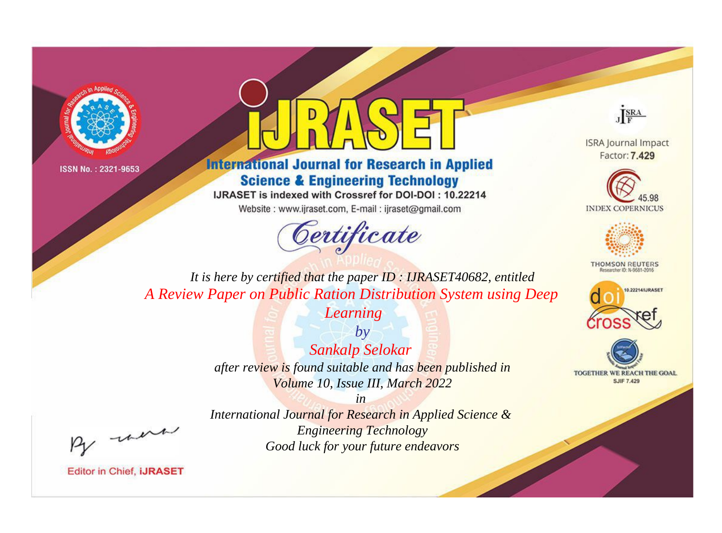



**International Journal for Research in Applied Science & Engineering Technology** 

IJRASET is indexed with Crossref for DOI-DOI: 10.22214

Website: www.ijraset.com, E-mail: ijraset@gmail.com





**ISRA Journal Impact** Factor: 7.429





**THOMSON REUTERS** 



TOGETHER WE REACH THE GOAL **SJIF 7.429** 

*It is here by certified that the paper ID : IJRASET40682, entitled A Review Paper on Public Ration Distribution System using Deep* 

*Learning*

*by Sankalp Selokar after review is found suitable and has been published in Volume 10, Issue III, March 2022*

, un

*International Journal for Research in Applied Science & Engineering Technology Good luck for your future endeavors*

*in*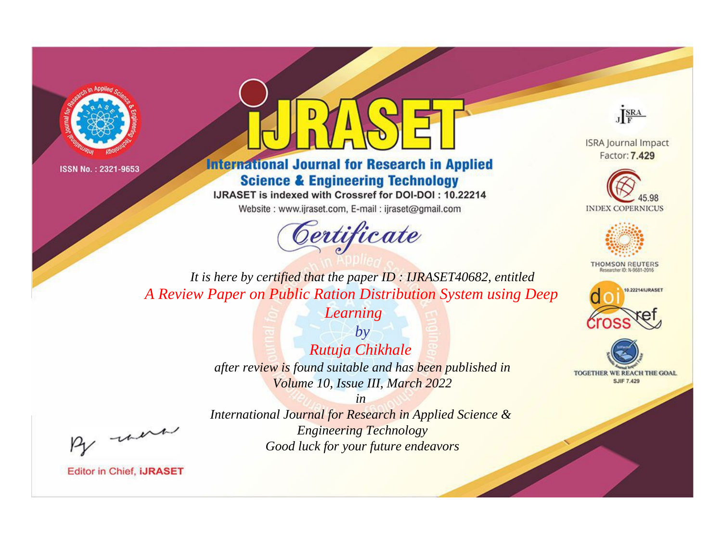



**International Journal for Research in Applied Science & Engineering Technology** 

IJRASET is indexed with Crossref for DOI-DOI: 10.22214

Website: www.ijraset.com, E-mail: ijraset@gmail.com



JERA

**ISRA Journal Impact** Factor: 7.429





**THOMSON REUTERS** 



TOGETHER WE REACH THE GOAL **SJIF 7.429** 

It is here by certified that the paper ID: IJRASET40682, entitled A Review Paper on Public Ration Distribution System using Deep

Learning

 $by$ Rutuja Chikhale after review is found suitable and has been published in Volume 10, Issue III, March 2022

were

International Journal for Research in Applied Science & **Engineering Technology** Good luck for your future endeavors

 $in$